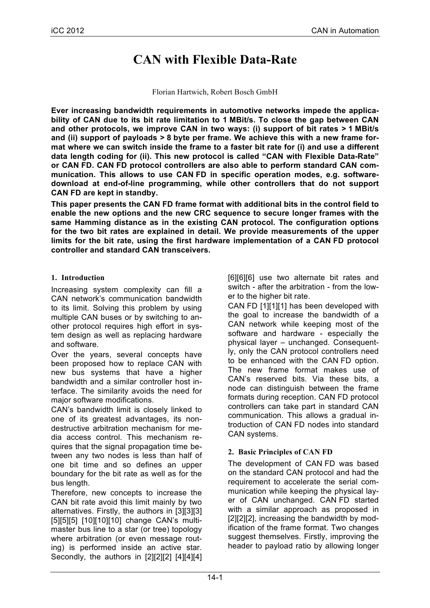# **CAN with Flexible Data-Rate**

#### Florian Hartwich, Robert Bosch GmbH

**Ever increasing bandwidth requirements in automotive networks impede the applicability of CAN due to its bit rate limitation to 1 MBit/s. To close the gap between CAN and other protocols, we improve CAN in two ways: (i) support of bit rates > 1 MBit/s and (ii) support of payloads > 8 byte per frame. We achieve this with a new frame format where we can switch inside the frame to a faster bit rate for (i) and use a different data length coding for (ii). This new protocol is called "CAN with Flexible Data-Rate" or CAN FD. CAN FD protocol controllers are also able to perform standard CAN communication. This allows to use CAN FD in specific operation modes, e.g. softwaredownload at end-of-line programming, while other controllers that do not support CAN FD are kept in standby.**

**This paper presents the CAN FD frame format with additional bits in the control field to enable the new options and the new CRC sequence to secure longer frames with the same Hamming distance as in the existing CAN protocol. The configuration options for the two bit rates are explained in detail. We provide measurements of the upper limits for the bit rate, using the first hardware implementation of a CAN FD protocol controller and standard CAN transceivers.**

## **1. Introduction**

Increasing system complexity can fill a CAN network's communication bandwidth to its limit. Solving this problem by using multiple CAN buses or by switching to another protocol requires high effort in system design as well as replacing hardware and software.

Over the years, several concepts have been proposed how to replace CAN with new bus systems that have a higher bandwidth and a similar controller host interface. The similarity avoids the need for major software modifications.

CAN's bandwidth limit is closely linked to one of its greatest advantages, its nondestructive arbitration mechanism for media access control. This mechanism requires that the signal propagation time between any two nodes is less than half of one bit time and so defines an upper boundary for the bit rate as well as for the bus length.

Therefore, new concepts to increase the CAN bit rate avoid this limit mainly by two alternatives. Firstly, the authors in [3][3][3] [5][5][5] [10][10][10] change CAN's multimaster bus line to a star (or tree) topology where arbitration (or even message routing) is performed inside an active star. Secondly, the authors in [2][2][2] [4][4][4] [6][6][6] use two alternate bit rates and switch - after the arbitration - from the lower to the higher bit rate.

CAN FD [1][1][1] has been developed with the goal to increase the bandwidth of a CAN network while keeping most of the software and hardware - especially the physical layer – unchanged. Consequently, only the CAN protocol controllers need to be enhanced with the CAN FD option. The new frame format makes use of CAN's reserved bits. Via these bits, a node can distinguish between the frame formats during reception. CAN FD protocol controllers can take part in standard CAN communication. This allows a gradual introduction of CAN FD nodes into standard CAN systems.

# **2. Basic Principles of CAN FD**

The development of CAN FD was based on the standard CAN protocol and had the requirement to accelerate the serial communication while keeping the physical layer of CAN unchanged. CAN FD started with a similar approach as proposed in [2][2][2], increasing the bandwidth by modification of the frame format. Two changes suggest themselves. Firstly, improving the header to payload ratio by allowing longer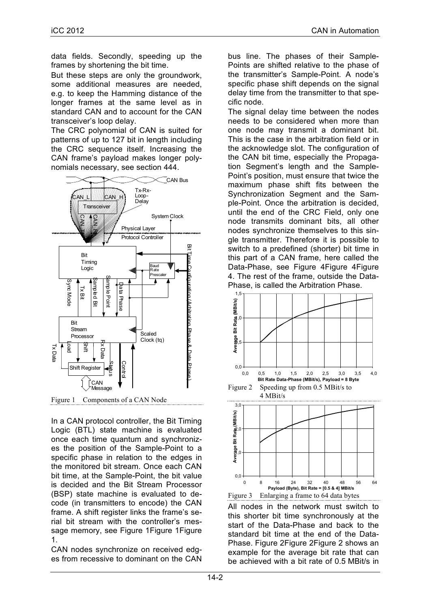data fields. Secondly, speeding up the frames by shortening the bit time.

But these steps are only the groundwork, some additional measures are needed, e.g. to keep the Hamming distance of the longer frames at the same level as in standard CAN and to account for the CAN transceiver's loop delay.

The CRC polynomial of CAN is suited for patterns of up to 127 bit in length including the CRC sequence itself. Increasing the CAN frame's payload makes longer polynomials necessary, see section 444.



Figure 1 Components of a CAN Node

In a CAN protocol controller, the Bit Timing Logic (BTL) state machine is evaluated once each time quantum and synchronizes the position of the Sample-Point to a specific phase in relation to the edges in the monitored bit stream. Once each CAN bit time, at the Sample-Point, the bit value is decided and the Bit Stream Processor (BSP) state machine is evaluated to decode (in transmitters to encode) the CAN frame. A shift register links the frame's serial bit stream with the controller's message memory, see Figure 1Figure 1Figure 1.

CAN nodes synchronize on received edges from recessive to dominant on the CAN bus line. The phases of their Sample-Points are shifted relative to the phase of the transmitter's Sample-Point. A node's specific phase shift depends on the signal delay time from the transmitter to that specific node.

The signal delay time between the nodes needs to be considered when more than one node may transmit a dominant bit. This is the case in the arbitration field or in the acknowledge slot. The configuration of the CAN bit time, especially the Propagation Segment's length and the Sample-Point's position, must ensure that twice the maximum phase shift fits between the Synchronization Segment and the Sample-Point. Once the arbitration is decided, until the end of the CRC Field, only one node transmits dominant bits, all other nodes synchronize themselves to this single transmitter. Therefore it is possible to switch to a predefined (shorter) bit time in this part of a CAN frame, here called the Data-Phase, see Figure 4 Figure 4 Figure 4. The rest of the frame, outside the Data-Phase, is called the Arbitration Phase.



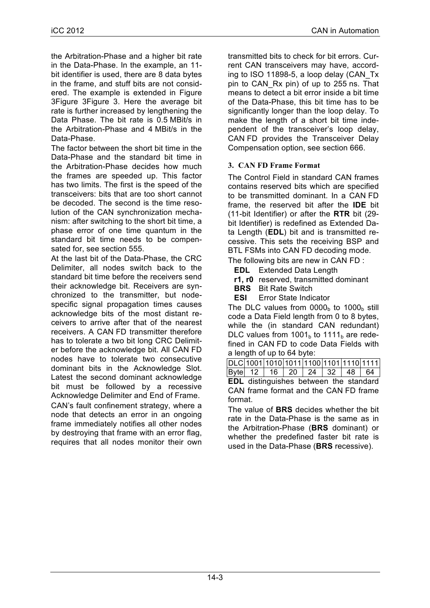the Arbitration-Phase and a higher bit rate in the Data-Phase. In the example, an 11 bit identifier is used, there are 8 data bytes in the frame, and stuff bits are not considered. The example is extended in Figure 3Figure 3Figure 3. Here the average bit rate is further increased by lengthening the Data Phase. The bit rate is 0.5 MBit/s in the Arbitration-Phase and 4 MBit/s in the Data-Phase.

The factor between the short bit time in the Data-Phase and the standard bit time in the Arbitration-Phase decides how much the frames are speeded up. This factor has two limits. The first is the speed of the transceivers: bits that are too short cannot be decoded. The second is the time resolution of the CAN synchronization mechanism: after switching to the short bit time, a phase error of one time quantum in the standard bit time needs to be compensated for, see section 555.

At the last bit of the Data-Phase, the CRC Delimiter, all nodes switch back to the standard bit time before the receivers send their acknowledge bit. Receivers are synchronized to the transmitter, but nodespecific signal propagation times causes acknowledge bits of the most distant receivers to arrive after that of the nearest receivers. A CAN FD transmitter therefore has to tolerate a two bit long CRC Delimiter before the acknowledge bit. All CAN FD nodes have to tolerate two consecutive dominant bits in the Acknowledge Slot. Latest the second dominant acknowledge bit must be followed by a recessive Acknowledge Delimiter and End of Frame.

CAN's fault confinement strategy, where a node that detects an error in an ongoing frame immediately notifies all other nodes by destroying that frame with an error flag, requires that all nodes monitor their own transmitted bits to check for bit errors. Current CAN transceivers may have, according to ISO 11898-5, a loop delay (CAN\_Tx pin to CAN\_Rx pin) of up to 255 ns. That means to detect a bit error inside a bit time of the Data-Phase, this bit time has to be significantly longer than the loop delay. To make the length of a short bit time independent of the transceiver's loop delay, CAN FD provides the Transceiver Delay Compensation option, see section 666.

# **3. CAN FD Frame Format**

The Control Field in standard CAN frames contains reserved bits which are specified to be transmitted dominant. In a CAN FD frame, the reserved bit after the **IDE** bit (11-bit Identifier) or after the **RTR** bit (29 bit Identifier) is redefined as Extended Data Length (**EDL**) bit and is transmitted recessive. This sets the receiving BSP and BTL FSMs into CAN FD decoding mode.

The following bits are new in CAN FD :

- **EDL** Extended Data Length
- **r1, r0** reserved, transmitted dominant
- **BRS** Bit Rate Switch
- **ESI** Error State Indicator

The DLC values from  $0000<sub>b</sub>$  to  $1000<sub>b</sub>$  still code a Data Field length from 0 to 8 bytes, while the (in standard CAN redundant) DLC values from  $1001<sub>b</sub>$  to  $1111<sub>b</sub>$  are redefined in CAN FD to code Data Fields with a length of up to 64 byte:

DLC 1001 1010 1011 1100 1101 1110 1111 Byte 12 16 20 24 32 48 64

**EDL** distinguishes between the standard CAN frame format and the CAN FD frame format.

The value of **BRS** decides whether the bit rate in the Data-Phase is the same as in the Arbitration-Phase (**BRS** dominant) or whether the predefined faster bit rate is used in the Data-Phase (**BRS** recessive).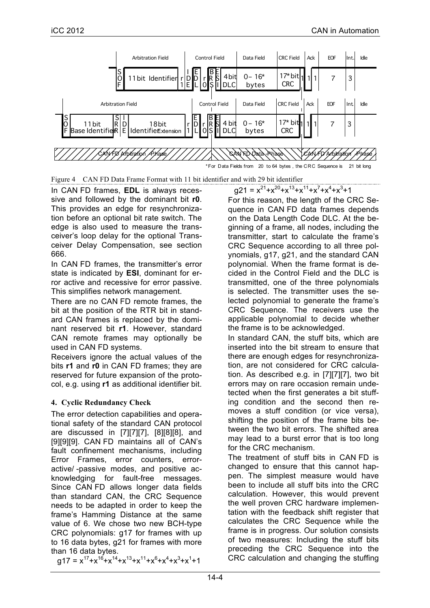

Figure 4 CAN FD Data Frame Format with 11 bit identifier and with 29 bit identifier

In CAN FD frames, **EDL** is always recessive and followed by the dominant bit **r0**. This provides an edge for resynchronization before an optional bit rate switch. The edge is also used to measure the transceiver's loop delay for the optional Transceiver Delay Compensation, see section 666.

In CAN FD frames, the transmitter's error state is indicated by **ESI**, dominant for error active and recessive for error passive. This simplifies network management.

There are no CAN FD remote frames, the bit at the position of the RTR bit in standard CAN frames is replaced by the dominant reserved bit **r1**. However, standard CAN remote frames may optionally be used in CAN FD systems.

Receivers ignore the actual values of the bits **r1** and **r0** in CAN FD frames; they are reserved for future expansion of the protocol, e.g. using **r1** as additional identifier bit.

# **4. Cyclic Redundancy Check**

The error detection capabilities and operational safety of the standard CAN protocol are discussed in [7][7][7], [8][8][8], and [9][9][9]. CAN FD maintains all of CAN's fault confinement mechanisms, including Error Frames, error counters, erroractive/ -passive modes, and positive acknowledging for fault-free messages. Since CAN FD allows longer data fields than standard CAN, the CRC Sequence needs to be adapted in order to keep the frame's Hamming Distance at the same value of 6. We chose two new BCH-type CRC polynomials: g17 for frames with up to 16 data bytes, g21 for frames with more than 16 data bytes.

 $g17 = x^{17}+x^{16}+x^{14}+x^{13}+x^{11}+x^{6}+x^{4}+x^{3}+x^{1}+1$ 

 $g21 = x^{21}+x^{20}+x^{13}+x^{11}+x^7+x^4+x^3+1$ 

For this reason, the length of the CRC Sequence in CAN FD data frames depends on the Data Length Code DLC. At the beginning of a frame, all nodes, including the transmitter, start to calculate the frame's CRC Sequence according to all three polynomials, g17, g21, and the standard CAN polynomial. When the frame format is decided in the Control Field and the DLC is transmitted, one of the three polynomials is selected. The transmitter uses the selected polynomial to generate the frame's CRC Sequence. The receivers use the applicable polynomial to decide whether the frame is to be acknowledged.

In standard CAN, the stuff bits, which are inserted into the bit stream to ensure that there are enough edges for resynchronization, are not considered for CRC calculation. As described e.g. in [7][7][7], two bit errors may on rare occasion remain undetected when the first generates a bit stuffing condition and the second then removes a stuff condition (or vice versa), shifting the position of the frame bits between the two bit errors. The shifted area may lead to a burst error that is too long for the CRC mechanism.

The treatment of stuff bits in CAN FD is changed to ensure that this cannot happen. The simplest measure would have been to include all stuff bits into the CRC calculation. However, this would prevent the well proven CRC hardware implementation with the feedback shift register that calculates the CRC Sequence while the frame is in progress. Our solution consists of two measures: Including the stuff bits preceding the CRC Sequence into the CRC calculation and changing the stuffing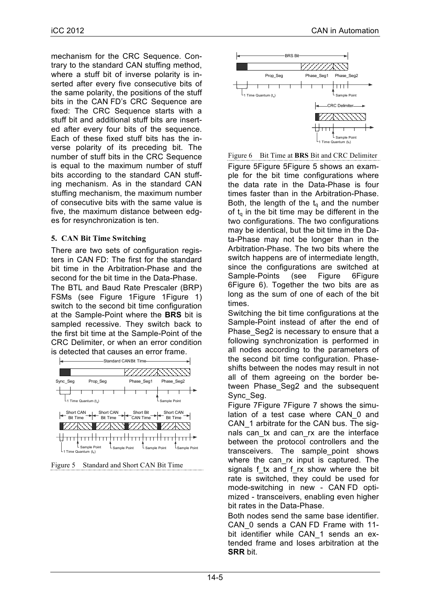mechanism for the CRC Sequence. Contrary to the standard CAN stuffing method, where a stuff bit of inverse polarity is inserted after every five consecutive bits of the same polarity, the positions of the stuff bits in the CAN FD's CRC Sequence are fixed: The CRC Sequence starts with a stuff bit and additional stuff bits are inserted after every four bits of the sequence. Each of these fixed stuff bits has the inverse polarity of its preceding bit. The number of stuff bits in the CRC Sequence is equal to the maximum number of stuff bits according to the standard CAN stuffing mechanism. As in the standard CAN stuffing mechanism, the maximum number of consecutive bits with the same value is five, the maximum distance between edges for resynchronization is ten.

# **5. CAN Bit Time Switching**

There are two sets of configuration registers in CAN FD: The first for the standard bit time in the Arbitration-Phase and the second for the bit time in the Data-Phase. The BTL and Baud Rate Prescaler (BRP) FSMs (see Figure 1Figure 1Figure 1) switch to the second bit time configuration at the Sample-Point where the **BRS** bit is sampled recessive. They switch back to the first bit time at the Sample-Point of the CRC Delimiter, or when an error condition is detected that causes an error frame.







Figure 6 Bit Time at **BRS** Bit and CRC Delimiter Figure 5Figure 5Figure 5 shows an example for the bit time configurations where the data rate in the Data-Phase is four times faster than in the Arbitration-Phase. Both, the length of the  $t_q$  and the number of  $t<sub>0</sub>$  in the bit time may be different in the two configurations. The two configurations may be identical, but the bit time in the Data-Phase may not be longer than in the Arbitration-Phase. The two bits where the switch happens are of intermediate length, since the configurations are switched at Sample-Points (see Figure 6Figure) 6Figure 6). Together the two bits are as long as the sum of one of each of the bit times.

Switching the bit time configurations at the Sample-Point instead of after the end of Phase Seg2 is necessary to ensure that a following synchronization is performed in all nodes according to the parameters of the second bit time configuration. Phaseshifts between the nodes may result in not all of them agreeing on the border between Phase Seg2 and the subsequent Sync\_Seg.

Figure 7Figure 7Figure 7 shows the simulation of a test case where CAN\_0 and CAN\_1 arbitrate for the CAN bus. The signals can tx and can rx are the interface between the protocol controllers and the transceivers. The sample\_point shows where the can rx input is captured. The signals f tx and f rx show where the bit rate is switched, they could be used for mode-switching in new - CAN FD optimized - transceivers, enabling even higher bit rates in the Data-Phase.

Both nodes send the same base identifier. CAN\_0 sends a CAN FD Frame with 11 bit identifier while CAN 1 sends an extended frame and loses arbitration at the **SRR** bit.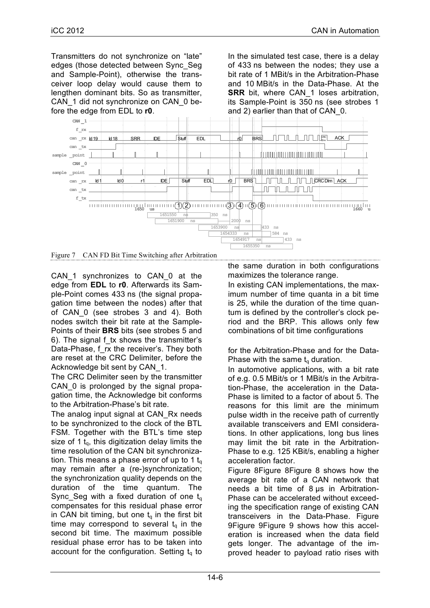Transmitters do not synchronize on "late" edges (those detected between Sync\_Seg and Sample-Point), otherwise the transceiver loop delay would cause them to lengthen dominant bits. So as transmitter, CAN\_1 did not synchronize on CAN\_0 before the edge from EDL to **r0**.

In the simulated test case, there is a delay of 433 ns between the nodes; they use a bit rate of 1 MBit/s in the Arbitration-Phase and 10 MBit/s in the Data-Phase. At the **SRR** bit, where CAN 1 loses arbitration, its Sample-Point is 350 ns (see strobes 1 and 2) earlier than that of CAN\_0.



Figure 7 CAN FD Bit Time Switching after Arbitration

CAN\_1 synchronizes to CAN\_0 at the edge from **EDL** to **r0**. Afterwards its Sample-Point comes 433 ns (the signal propagation time between the nodes) after that of CAN 0 (see strobes 3 and 4). Both nodes switch their bit rate at the Sample-Points of their **BRS** bits (see strobes 5 and 6). The signal f\_tx shows the transmitter's Data-Phase, f\_rx the receiver's. They both are reset at the CRC Delimiter, before the Acknowledge bit sent by CAN\_1.

The CRC Delimiter seen by the transmitter CAN 0 is prolonged by the signal propagation time, the Acknowledge bit conforms to the Arbitration-Phase's bit rate.

The analog input signal at CAN\_Rx needs to be synchronized to the clock of the BTL FSM. Together with the BTL's time step size of 1  $t<sub>0</sub>$ , this digitization delay limits the time resolution of the CAN bit synchronization. This means a phase error of up to 1  $t<sub>q</sub>$ may remain after a (re-)synchronization; the synchronization quality depends on the duration of the time quantum. The Sync Seg with a fixed duration of one  $t<sub>q</sub>$ compensates for this residual phase error in CAN bit timing, but one  $t<sub>q</sub>$  in the first bit time may correspond to several  $t<sub>a</sub>$  in the second bit time. The maximum possible residual phase error has to be taken into account for the configuration. Setting  $t<sub>0</sub>$  to the same duration in both configurations maximizes the tolerance range.

In existing CAN implementations, the maximum number of time quanta in a bit time is 25, while the duration of the time quantum is defined by the controller's clock period and the BRP. This allows only few combinations of bit time configurations

for the Arbitration-Phase and for the Data-Phase with the same  $t<sub>q</sub>$  duration.

In automotive applications, with a bit rate of e.g. 0.5 MBit/s or 1 MBit/s in the Arbitration-Phase, the acceleration in the Data-Phase is limited to a factor of about 5. The reasons for this limit are the minimum pulse width in the receive path of currently available transceivers and EMI considerations. In other applications, long bus lines may limit the bit rate in the Arbitration-Phase to e.g. 125 KBit/s, enabling a higher acceleration factor.

Figure 8Figure 8Figure 8 shows how the average bit rate of a CAN network that needs a bit time of 8 µs in Arbitration-Phase can be accelerated without exceeding the specification range of existing CAN transceivers in the Data-Phase. Figure 9Figure 9Figure 9 shows how this acceleration is increased when the data field gets longer. The advantage of the improved header to payload ratio rises with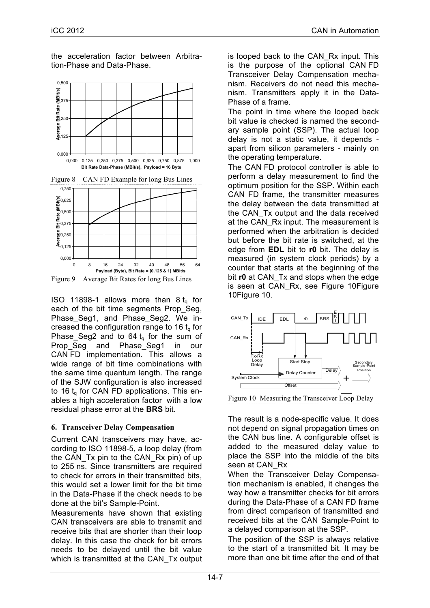the acceleration factor between Arbitration-Phase and Data-Phase.





ISO 11898-1 allows more than  $8 t_q$  for each of the bit time segments Prop\_Seg, Phase\_Seg1, and Phase\_Seg2. We increased the configuration range to 16  $t_q$  for Phase\_Seg2 and to 64 $t_q$  for the sum of Prop Seg and Phase Seg1 in our CAN FD implementation. This allows a wide range of bit time combinations with the same time quantum length. The range of the SJW configuration is also increased to 16  $t<sub>0</sub>$  for CAN FD applications. This enables a high acceleration factor with a low residual phase error at the **BRS** bit.

# **6. Transceiver Delay Compensation**

Current CAN transceivers may have, according to ISO 11898-5, a loop delay (from the CAN Tx pin to the CAN Rx pin) of up to 255 ns. Since transmitters are required to check for errors in their transmitted bits, this would set a lower limit for the bit time in the Data-Phase if the check needs to be done at the bit's Sample-Point.

Measurements have shown that existing CAN transceivers are able to transmit and receive bits that are shorter than their loop delay. In this case the check for bit errors needs to be delayed until the bit value which is transmitted at the CAN\_Tx output is looped back to the CAN\_Rx input. This is the purpose of the optional CAN FD Transceiver Delay Compensation mechanism. Receivers do not need this mechanism. Transmitters apply it in the Data-Phase of a frame.

The point in time where the looped back bit value is checked is named the secondary sample point (SSP). The actual loop delay is not a static value, it depends apart from silicon parameters - mainly on the operating temperature.

The CAN FD protocol controller is able to perform a delay measurement to find the optimum position for the SSP. Within each CAN FD frame, the transmitter measures the delay between the data transmitted at the CAN\_Tx output and the data received at the CAN Rx input. The measurement is performed when the arbitration is decided but before the bit rate is switched, at the edge from **EDL** bit to **r0** bit. The delay is measured (in system clock periods) by a counter that starts at the beginning of the bit **r0** at CAN\_Tx and stops when the edge is seen at CAN\_Rx, see Figure 10Figure 10Figure 10.



Figure 10 Measuring the Transceiver Loop Delay

The result is a node-specific value. It does not depend on signal propagation times on the CAN bus line. A configurable offset is added to the measured delay value to place the SSP into the middle of the bits seen at CAN\_Rx

When the Transceiver Delay Compensation mechanism is enabled, it changes the way how a transmitter checks for bit errors during the Data-Phase of a CAN FD frame from direct comparison of transmitted and received bits at the CAN Sample-Point to a delayed comparison at the SSP.

The position of the SSP is always relative to the start of a transmitted bit. It may be more than one bit time after the end of that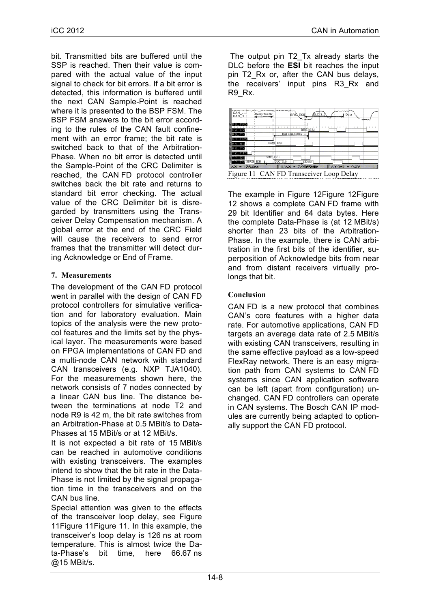bit. Transmitted bits are buffered until the SSP is reached. Then their value is compared with the actual value of the input signal to check for bit errors. If a bit error is detected, this information is buffered until the next CAN Sample-Point is reached where it is presented to the BSP FSM. The BSP FSM answers to the bit error according to the rules of the CAN fault confinement with an error frame; the bit rate is switched back to that of the Arbitration-Phase. When no bit error is detected until the Sample-Point of the CRC Delimiter is reached, the CAN FD protocol controller switches back the bit rate and returns to standard bit error checking. The actual value of the CRC Delimiter bit is disregarded by transmitters using the Transceiver Delay Compensation mechanism. A global error at the end of the CRC Field will cause the receivers to send error frames that the transmitter will detect during Acknowledge or End of Frame.

## **7. Measurements**

The development of the CAN FD protocol went in parallel with the design of CAN FD protocol controllers for simulative verification and for laboratory evaluation. Main topics of the analysis were the new protocol features and the limits set by the physical layer. The measurements were based on FPGA implementations of CAN FD and a multi-node CAN network with standard CAN transceivers (e.g. NXP TJA1040). For the measurements shown here, the network consists of 7 nodes connected by a linear CAN bus line. The distance between the terminations at node T2 and node R9 is 42 m, the bit rate switches from an Arbitration-Phase at 0.5 MBit/s to Data-Phases at 15 MBit/s or at 12 MBit/s.

It is not expected a bit rate of 15 MBit/s can be reached in automotive conditions with existing transceivers. The examples intend to show that the bit rate in the Data-Phase is not limited by the signal propagation time in the transceivers and on the CAN bus line.

Special attention was given to the effects of the transceiver loop delay, see Figure 11Figure 11Figure 11. In this example, the transceiver's loop delay is 126 ns at room temperature. This is almost twice the Data-Phase's bit time, here 66.67 ns @15 MBit/s.

The output pin T2 Tx already starts the DLC before the **ESI** bit reaches the input pin T2 Rx or, after the CAN bus delays, the receivers' input pins R3\_Rx and R9 Rx.



Figure 11 CAN FD Transceiver Loop Delay

The example in Figure 12Figure 12Figure 12 shows a complete CAN FD frame with 29 bit Identifier and 64 data bytes. Here the complete Data-Phase is (at 12 MBit/s) shorter than 23 bits of the Arbitration-Phase. In the example, there is CAN arbitration in the first bits of the identifier, superposition of Acknowledge bits from near and from distant receivers virtually prolongs that bit.

## **Conclusion**

CAN FD is a new protocol that combines CAN's core features with a higher data rate. For automotive applications, CAN FD targets an average data rate of 2.5 MBit/s with existing CAN transceivers, resulting in the same effective payload as a low-speed FlexRay network. There is an easy migration path from CAN systems to CAN FD systems since CAN application software can be left (apart from configuration) unchanged. CAN FD controllers can operate in CAN systems. The Bosch CAN IP modules are currently being adapted to optionally support the CAN FD protocol.